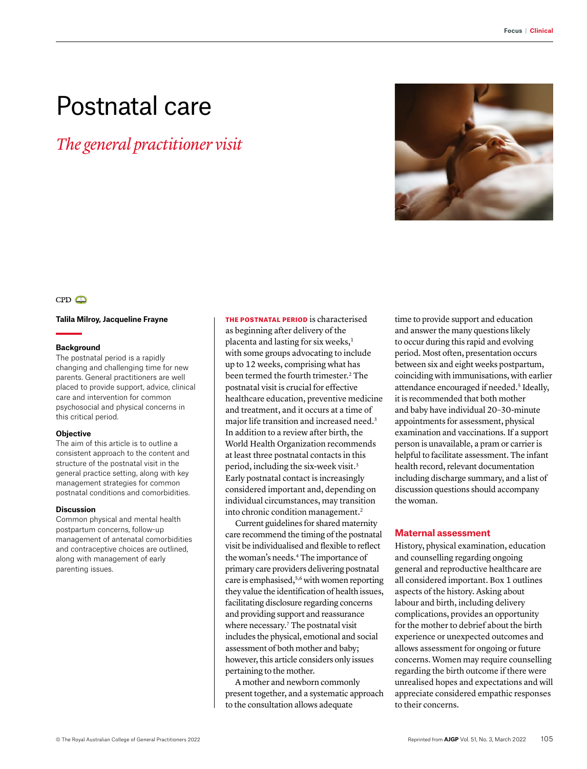# Postnatal care

*The general practitioner visit*



# $CPD$

#### **Talila Milroy, Jacqueline Frayne**

#### **Background**

The postnatal period is a rapidly changing and challenging time for new parents. General practitioners are well placed to provide support, advice, clinical care and intervention for common psychosocial and physical concerns in this critical period.

# **Objective**

The aim of this article is to outline a consistent approach to the content and structure of the postnatal visit in the general practice setting, along with key management strategies for common postnatal conditions and comorbidities.

### **Discussion**

Common physical and mental health postpartum concerns, follow-up management of antenatal comorbidities and contraceptive choices are outlined, along with management of early parenting issues.

THE POSTNATAL PERIOD is characterised as beginning after delivery of the placenta and lasting for six weeks,<sup>1</sup> with some groups advocating to include up to 12 weeks, comprising what has been termed the fourth trimester.<sup>2</sup> The postnatal visit is crucial for effective healthcare education, preventive medicine and treatment, and it occurs at a time of major life transition and increased need.3 In addition to a review after birth, the World Health Organization recommends at least three postnatal contacts in this period, including the six-week visit.<sup>3</sup> Early postnatal contact is increasingly considered important and, depending on individual circumstances, may transition into chronic condition management.2

Current guidelines for shared maternity care recommend the timing of the postnatal visit be individualised and flexible to reflect the woman's needs.4 The importance of primary care providers delivering postnatal care is emphasised,<sup>5,6</sup> with women reporting they value the identification of health issues, facilitating disclosure regarding concerns and providing support and reassurance where necessary.<sup>7</sup> The postnatal visit includes the physical, emotional and social assessment of both mother and baby; however, this article considers only issues pertaining to the mother.

A mother and newborn commonly present together, and a systematic approach to the consultation allows adequate

time to provide support and education and answer the many questions likely to occur during this rapid and evolving period. Most often, presentation occurs between six and eight weeks postpartum, coinciding with immunisations, with earlier attendance encouraged if needed.<sup>5</sup> Ideally, it is recommended that both mother and baby have individual 20–30-minute appointments for assessment, physical examination and vaccinations. If a support person is unavailable, a pram or carrier is helpful to facilitate assessment. The infant health record, relevant documentation including discharge summary, and a list of discussion questions should accompany the woman.

# **Maternal assessment**

History, physical examination, education and counselling regarding ongoing general and reproductive healthcare are all considered important. Box 1 outlines aspects of the history. Asking about labour and birth, including delivery complications, provides an opportunity for the mother to debrief about the birth experience or unexpected outcomes and allows assessment for ongoing or future concerns. Women may require counselling regarding the birth outcome if there were unrealised hopes and expectations and will appreciate considered empathic responses to their concerns.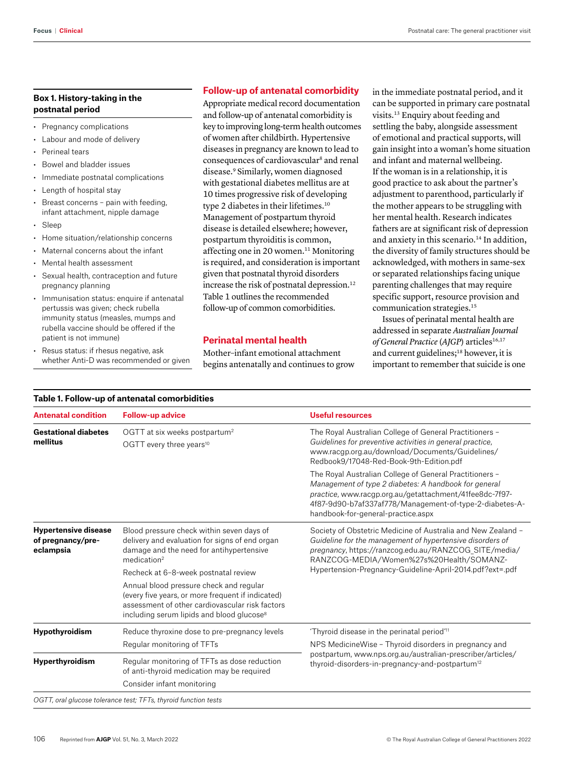# **Box 1. History-taking in the postnatal period**

- Pregnancy complications
- Labour and mode of delivery
- Perineal tears
- Bowel and bladder issues
- Immediate postnatal complications
- Length of hospital stay
- Breast concerns pain with feeding, infant attachment, nipple damage
- Sleep
- Home situation/relationship concerns
- Maternal concerns about the infant
- Mental health assessment
- Sexual health, contraception and future pregnancy planning
- Immunisation status: enquire if antenatal pertussis was given; check rubella immunity status (measles, mumps and rubella vaccine should be offered if the patient is not immune)
- Resus status: if rhesus negative, ask whether Anti-D was recommended or given

# **Follow-up of antenatal comorbidity**

Appropriate medical record documentation and follow-up of antenatal comorbidity is key to improving long-term health outcomes of women after childbirth. Hypertensive diseases in pregnancy are known to lead to consequences of cardiovascular<sup>8</sup> and renal disease.9 Similarly, women diagnosed with gestational diabetes mellitus are at 10 times progressive risk of developing type 2 diabetes in their lifetimes.<sup>10</sup> Management of postpartum thyroid disease is detailed elsewhere; however, postpartum thyroiditis is common, affecting one in 20 women.<sup>11</sup> Monitoring is required, and consideration is important given that postnatal thyroid disorders increase the risk of postnatal depression.<sup>12</sup> Table 1 outlines the recommended follow-up of common comorbidities.

# **Perinatal mental health**

Mother–infant emotional attachment begins antenatally and continues to grow in the immediate postnatal period, and it can be supported in primary care postnatal visits.13 Enquiry about feeding and settling the baby, alongside assessment of emotional and practical supports, will gain insight into a woman's home situation and infant and maternal wellbeing. If the woman is in a relationship, it is good practice to ask about the partner's adjustment to parenthood, particularly if the mother appears to be struggling with her mental health. Research indicates fathers are at significant risk of depression and anxiety in this scenario.<sup>14</sup> In addition, the diversity of family structures should be acknowledged, with mothers in same-sex or separated relationships facing unique parenting challenges that may require specific support, resource provision and communication strategies.15

Issues of perinatal mental health are addressed in separate *Australian Journal of General Practice* (AJGP) articles<sup>16,17</sup> and current guidelines;<sup>18</sup> however, it is important to remember that suicide is one

|  |  |  |  | Table 1. Follow-up of antenatal comorbidities |  |  |
|--|--|--|--|-----------------------------------------------|--|--|
|--|--|--|--|-----------------------------------------------|--|--|

| <b>Antenatal condition</b>                                    | <b>Follow-up advice</b>                                                                                                                                                                                  | Useful resources                                                                                                                                                                                                                                                             |  |
|---------------------------------------------------------------|----------------------------------------------------------------------------------------------------------------------------------------------------------------------------------------------------------|------------------------------------------------------------------------------------------------------------------------------------------------------------------------------------------------------------------------------------------------------------------------------|--|
| <b>Gestational diabetes</b><br>mellitus                       | OGTT at six weeks postpartum <sup>2</sup><br>OGTT every three years <sup>10</sup>                                                                                                                        | The Royal Australian College of General Practitioners -<br>Guidelines for preventive activities in general practice,<br>www.racqp.org.au/download/Documents/Guidelines/<br>Redbook9/17048-Red-Book-9th-Edition.pdf                                                           |  |
|                                                               |                                                                                                                                                                                                          | The Royal Australian College of General Practitioners -<br>Management of type 2 diabetes: A handbook for general<br>practice, www.racgp.org.au/getattachment/41fee8dc-7f97-<br>4f87-9d90-b7af337af778/Management-of-type-2-diabetes-A-<br>handbook-for-general-practice.aspx |  |
| <b>Hypertensive disease</b><br>of pregnancy/pre-<br>eclampsia | Blood pressure check within seven days of<br>delivery and evaluation for signs of end organ<br>damage and the need for antihypertensive<br>medication <sup>2</sup>                                       | Society of Obstetric Medicine of Australia and New Zealand -<br>Guideline for the management of hypertensive disorders of<br>pregnancy, https://ranzcog.edu.au/RANZCOG SITE/media/<br>RANZCOG-MEDIA/Women%27s%20Health/SOMANZ-                                               |  |
|                                                               | Recheck at 6-8-week postnatal review                                                                                                                                                                     | Hypertension-Pregnancy-Guideline-April-2014.pdf?ext=.pdf                                                                                                                                                                                                                     |  |
|                                                               | Annual blood pressure check and regular<br>(every five years, or more frequent if indicated)<br>assessment of other cardiovascular risk factors<br>including serum lipids and blood glucose <sup>8</sup> |                                                                                                                                                                                                                                                                              |  |
| Hypothyroidism                                                | Reduce thyroxine dose to pre-pregnancy levels                                                                                                                                                            | 'Thyroid disease in the perinatal period" <sup>11</sup>                                                                                                                                                                                                                      |  |
|                                                               | Regular monitoring of TFTs                                                                                                                                                                               | NPS MedicineWise - Thyroid disorders in pregnancy and                                                                                                                                                                                                                        |  |
| Hyperthyroidism                                               | Regular monitoring of TFTs as dose reduction<br>of anti-thyroid medication may be required                                                                                                               | postpartum, www.nps.org.au/australian-prescriber/articles/<br>thyroid-disorders-in-pregnancy-and-postpartum <sup>12</sup>                                                                                                                                                    |  |
|                                                               | Consider infant monitoring                                                                                                                                                                               |                                                                                                                                                                                                                                                                              |  |
|                                                               | OGTT, oral glucose tolerance test; TFTs, thyroid function tests                                                                                                                                          |                                                                                                                                                                                                                                                                              |  |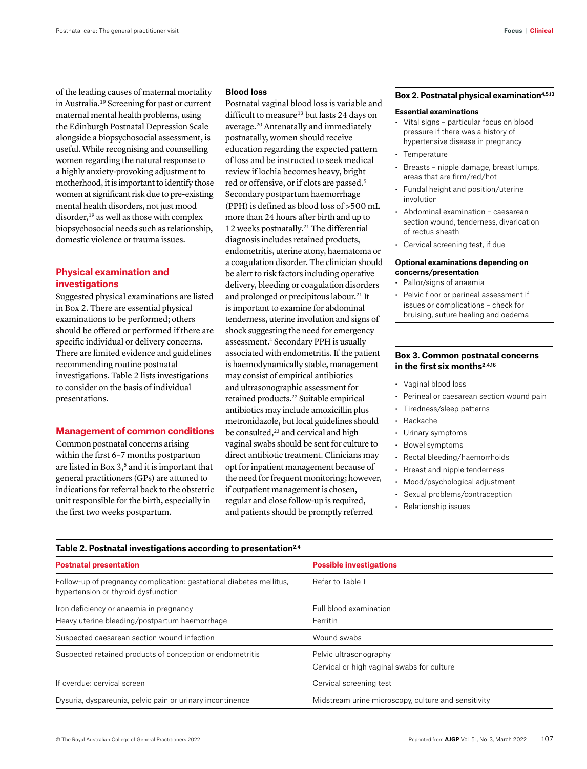of the leading causes of maternal mortality in Australia.19 Screening for past or current maternal mental health problems, using the Edinburgh Postnatal Depression Scale alongside a biopsychosocial assessment, is useful. While recognising and counselling women regarding the natural response to a highly anxiety-provoking adjustment to motherhood, it is important to identify those women at significant risk due to pre-existing mental health disorders, not just mood disorder,<sup>19</sup> as well as those with complex biopsychosocial needs such as relationship, domestic violence or trauma issues.

# **Physical examination and investigations**

Suggested physical examinations are listed in Box 2. There are essential physical examinations to be performed; others should be offered or performed if there are specific individual or delivery concerns. There are limited evidence and guidelines recommending routine postnatal investigations. Table 2 lists investigations to consider on the basis of individual presentations.

## **Management of common conditions**

Common postnatal concerns arising within the first 6–7 months postpartum are listed in Box 3,<sup>5</sup> and it is important that general practitioners (GPs) are attuned to indications for referral back to the obstetric unit responsible for the birth, especially in the first two weeks postpartum.

## **Blood loss**

Postnatal vaginal blood loss is variable and difficult to measure<sup>13</sup> but lasts 24 days on average.20 Antenatally and immediately postnatally, women should receive education regarding the expected pattern of loss and be instructed to seek medical review if lochia becomes heavy, bright red or offensive, or if clots are passed.5 Secondary postpartum haemorrhage (PPH) is defined as blood loss of >500 mL more than 24 hours after birth and up to 12 weeks postnatally.21 The differential diagnosis includes retained products, endometritis, uterine atony, haematoma or a coagulation disorder. The clinician should be alert to risk factors including operative delivery, bleeding or coagulation disorders and prolonged or precipitous labour.<sup>21</sup> It is important to examine for abdominal tenderness, uterine involution and signs of shock suggesting the need for emergency assessment.4 Secondary PPH is usually associated with endometritis. If the patient is haemodynamically stable, management may consist of empirical antibiotics and ultrasonographic assessment for retained products.22 Suitable empirical antibiotics may include amoxicillin plus metronidazole, but local guidelines should be consulted,<sup>23</sup> and cervical and high vaginal swabs should be sent for culture to direct antibiotic treatment. Clinicians may opt for inpatient management because of the need for frequent monitoring; however, if outpatient management is chosen, regular and close follow-up is required, and patients should be promptly referred

# **Box 2. Postnatal physical examination4,5,13**

#### **Essential examinations**

- Vital signs particular focus on blood pressure if there was a history of hypertensive disease in pregnancy
- **Temperature**
- Breasts nipple damage, breast lumps, areas that are firm/red/hot
- Fundal height and position/uterine involution
- Abdominal examination caesarean section wound, tenderness, divarication of rectus sheath
- Cervical screening test, if due

#### **Optional examinations depending on concerns/presentation**

- Pallor/signs of anaemia
- Pelvic floor or perineal assessment if issues or complications – check for bruising, suture healing and oedema

## **Box 3. Common postnatal concerns in the first six months2,4,16**

- Vaginal blood loss
- Perineal or caesarean section wound pain
- Tiredness/sleep patterns
- **Backache**
- Urinary symptoms
- Bowel symptoms
- Rectal bleeding/haemorrhoids
- Breast and nipple tenderness
- Mood/psychological adjustment
- Sexual problems/contraception
- Relationship issues

#### **Table 2. Postnatal investigations according to presentation2,4**

| <b>Postnatal presentation</b>                                                                              | <b>Possible investigations</b>                                       |  |
|------------------------------------------------------------------------------------------------------------|----------------------------------------------------------------------|--|
| Follow-up of pregnancy complication: gestational diabetes mellitus,<br>hypertension or thyroid dysfunction | Refer to Table 1                                                     |  |
| Iron deficiency or anaemia in pregnancy<br>Heavy uterine bleeding/postpartum haemorrhage                   | Full blood examination<br>Ferritin                                   |  |
| Suspected caesarean section wound infection                                                                | Wound swabs                                                          |  |
| Suspected retained products of conception or endometritis                                                  | Pelvic ultrasonography<br>Cervical or high vaginal swabs for culture |  |
| If overdue: cervical screen                                                                                | Cervical screening test                                              |  |
| Dysuria, dyspareunia, pelvic pain or urinary incontinence                                                  | Midstream urine microscopy, culture and sensitivity                  |  |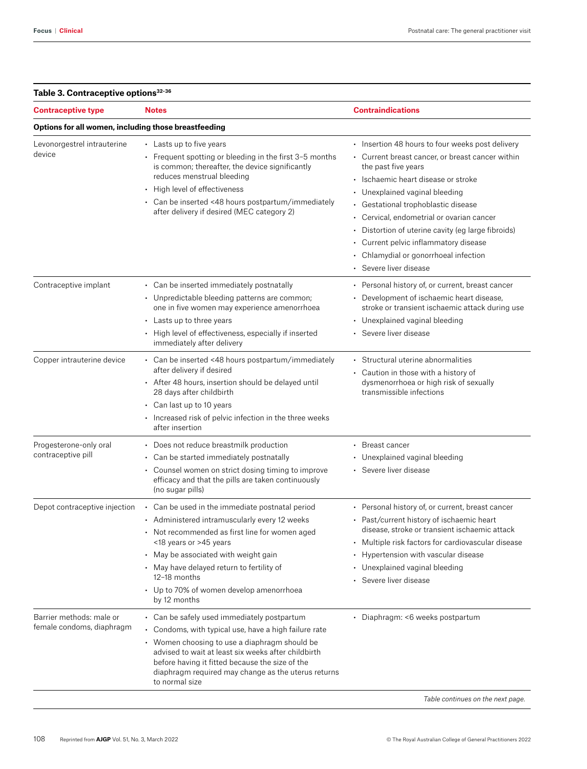| <b>Contraceptive type</b>                             | <b>Notes</b>                                                                                                                                                                                                                                                                                                                                                                                                                                                                                                                       | <b>Contraindications</b>                                                                                                                                                                                                                                                                                                                                                                                                                                   |
|-------------------------------------------------------|------------------------------------------------------------------------------------------------------------------------------------------------------------------------------------------------------------------------------------------------------------------------------------------------------------------------------------------------------------------------------------------------------------------------------------------------------------------------------------------------------------------------------------|------------------------------------------------------------------------------------------------------------------------------------------------------------------------------------------------------------------------------------------------------------------------------------------------------------------------------------------------------------------------------------------------------------------------------------------------------------|
| Options for all women, including those breastfeeding  |                                                                                                                                                                                                                                                                                                                                                                                                                                                                                                                                    |                                                                                                                                                                                                                                                                                                                                                                                                                                                            |
| Levonorgestrel intrauterine<br>device                 | • Lasts up to five years<br>• Frequent spotting or bleeding in the first 3-5 months<br>is common; thereafter, the device significantly<br>reduces menstrual bleeding<br>• High level of effectiveness<br>• Can be inserted <48 hours postpartum/immediately<br>after delivery if desired (MEC category 2)                                                                                                                                                                                                                          | · Insertion 48 hours to four weeks post delivery<br>• Current breast cancer, or breast cancer within<br>the past five years<br>· Ischaemic heart disease or stroke<br>• Unexplained vaginal bleeding<br>• Gestational trophoblastic disease<br>• Cervical, endometrial or ovarian cancer<br>• Distortion of uterine cavity (eg large fibroids)<br>• Current pelvic inflammatory disease<br>• Chlamydial or gonorrhoeal infection<br>• Severe liver disease |
| Contraceptive implant<br>Copper intrauterine device   | • Can be inserted immediately postnatally<br>• Unpredictable bleeding patterns are common;<br>one in five women may experience amenorrhoea<br>• Lasts up to three years<br>• High level of effectiveness, especially if inserted<br>immediately after delivery<br>• Can be inserted <48 hours postpartum/immediately<br>after delivery if desired<br>• After 48 hours, insertion should be delayed until<br>28 days after childbirth<br>$\cdot$ Can last up to 10 years<br>• Increased risk of pelvic infection in the three weeks | • Personal history of, or current, breast cancer<br>• Development of ischaemic heart disease,<br>stroke or transient ischaemic attack during use<br>• Unexplained vaginal bleeding<br>• Severe liver disease<br>• Structural uterine abnormalities<br>• Caution in those with a history of<br>dysmenorrhoea or high risk of sexually<br>transmissible infections                                                                                           |
| Progesterone-only oral<br>contraceptive pill          | after insertion<br>• Does not reduce breastmilk production<br>• Can be started immediately postnatally<br>• Counsel women on strict dosing timing to improve<br>efficacy and that the pills are taken continuously<br>(no sugar pills)                                                                                                                                                                                                                                                                                             | • Breast cancer<br>• Unexplained vaginal bleeding<br>• Severe liver disease                                                                                                                                                                                                                                                                                                                                                                                |
| Depot contraceptive injection                         | • Can be used in the immediate postnatal period<br>• Administered intramuscularly every 12 weeks<br>• Not recommended as first line for women aged<br><18 years or >45 years<br>• May be associated with weight gain<br>• May have delayed return to fertility of<br>12-18 months<br>• Up to 70% of women develop amenorrhoea<br>by 12 months                                                                                                                                                                                      | • Personal history of, or current, breast cancer<br>• Past/current history of ischaemic heart<br>disease, stroke or transient ischaemic attack<br>• Multiple risk factors for cardiovascular disease<br>• Hypertension with vascular disease<br>• Unexplained vaginal bleeding<br>• Severe liver disease                                                                                                                                                   |
| Barrier methods: male or<br>female condoms, diaphragm | • Can be safely used immediately postpartum<br>• Condoms, with typical use, have a high failure rate<br>• Women choosing to use a diaphragm should be<br>advised to wait at least six weeks after childbirth<br>before having it fitted because the size of the<br>diaphragm required may change as the uterus returns<br>to normal size                                                                                                                                                                                           | · Diaphragm: <6 weeks postpartum                                                                                                                                                                                                                                                                                                                                                                                                                           |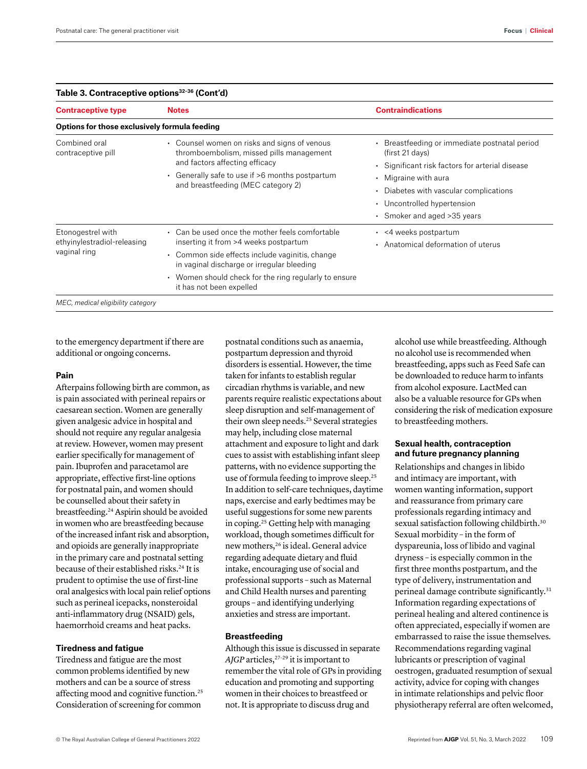| <b>Contraceptive type</b>                                        | <b>Notes</b>                                                                                                                                                                                                                                                                   | <b>Contraindications</b>                                                                                                                                                                                                                           |
|------------------------------------------------------------------|--------------------------------------------------------------------------------------------------------------------------------------------------------------------------------------------------------------------------------------------------------------------------------|----------------------------------------------------------------------------------------------------------------------------------------------------------------------------------------------------------------------------------------------------|
| Options for those exclusively formula feeding                    |                                                                                                                                                                                                                                                                                |                                                                                                                                                                                                                                                    |
| Combined oral<br>contraceptive pill                              | • Counsel women on risks and signs of venous<br>thromboembolism, missed pills management<br>and factors affecting efficacy<br>• Generally safe to use if >6 months postpartum<br>and breastfeeding (MEC category 2)                                                            | • Breastfeeding or immediate postnatal period<br>(first 21 days)<br>• Significant risk factors for arterial disease<br>• Migraine with aura<br>Diabetes with vascular complications<br>• Uncontrolled hypertension<br>• Smoker and aged > 35 years |
| Etonogestrel with<br>ethyinylestradiol-releasing<br>vaginal ring | • Can be used once the mother feels comfortable<br>inserting it from >4 weeks postpartum<br>• Common side effects include vaginitis, change<br>in vaginal discharge or irregular bleeding<br>• Women should check for the ring regularly to ensure<br>it has not been expelled | $\cdot$ <4 weeks postpartum<br>• Anatomical deformation of uterus                                                                                                                                                                                  |

# **Table 3. Contraceptive options32–36 (Cont'd)**

to the emergency department if there are additional or ongoing concerns.

## **Pain**

Afterpains following birth are common, as is pain associated with perineal repairs or caesarean section. Women are generally given analgesic advice in hospital and should not require any regular analgesia at review. However, women may present earlier specifically for management of pain. Ibuprofen and paracetamol are appropriate, effective first-line options for postnatal pain, and women should be counselled about their safety in breastfeeding.24 Aspirin should be avoided in women who are breastfeeding because of the increased infant risk and absorption, and opioids are generally inappropriate in the primary care and postnatal setting because of their established risks.<sup>24</sup> It is prudent to optimise the use of first-line oral analgesics with local pain relief options such as perineal icepacks, nonsteroidal anti-inflammatory drug (NSAID) gels, haemorrhoid creams and heat packs.

# **Tiredness and fatigue**

Tiredness and fatigue are the most common problems identified by new mothers and can be a source of stress affecting mood and cognitive function.25 Consideration of screening for common

postnatal conditions such as anaemia, postpartum depression and thyroid disorders is essential. However, the time taken for infants to establish regular circadian rhythms is variable, and new parents require realistic expectations about sleep disruption and self-management of their own sleep needs.<sup>25</sup> Several strategies may help, including close maternal attachment and exposure to light and dark cues to assist with establishing infant sleep patterns, with no evidence supporting the use of formula feeding to improve sleep.25 In addition to self-care techniques, daytime naps, exercise and early bedtimes may be useful suggestions for some new parents in coping.25 Getting help with managing workload, though sometimes difficult for new mothers,<sup>26</sup> is ideal. General advice regarding adequate dietary and fluid intake, encouraging use of social and professional supports – such as Maternal and Child Health nurses and parenting groups – and identifying underlying anxieties and stress are important.

## **Breastfeeding**

Although this issue is discussed in separate AJGP articles,<sup>27-29</sup> it is important to remember the vital role of GPs in providing education and promoting and supporting women in their choices to breastfeed or not. It is appropriate to discuss drug and

alcohol use while breastfeeding. Although no alcohol use is recommended when breastfeeding, apps such as Feed Safe can be downloaded to reduce harm to infants from alcohol exposure. LactMed can also be a valuable resource for GPs when considering the risk of medication exposure to breastfeeding mothers.

# **Sexual health, contraception and future pregnancy planning**

Relationships and changes in libido and intimacy are important, with women wanting information, support and reassurance from primary care professionals regarding intimacy and sexual satisfaction following childbirth.<sup>30</sup> Sexual morbidity – in the form of dyspareunia, loss of libido and vaginal dryness – is especially common in the first three months postpartum, and the type of delivery, instrumentation and perineal damage contribute significantly.<sup>31</sup> Information regarding expectations of perineal healing and altered continence is often appreciated, especially if women are embarrassed to raise the issue themselves*.*  Recommendations regarding vaginal lubricants or prescription of vaginal oestrogen, graduated resumption of sexual activity, advice for coping with changes in intimate relationships and pelvic floor physiotherapy referral are often welcomed,